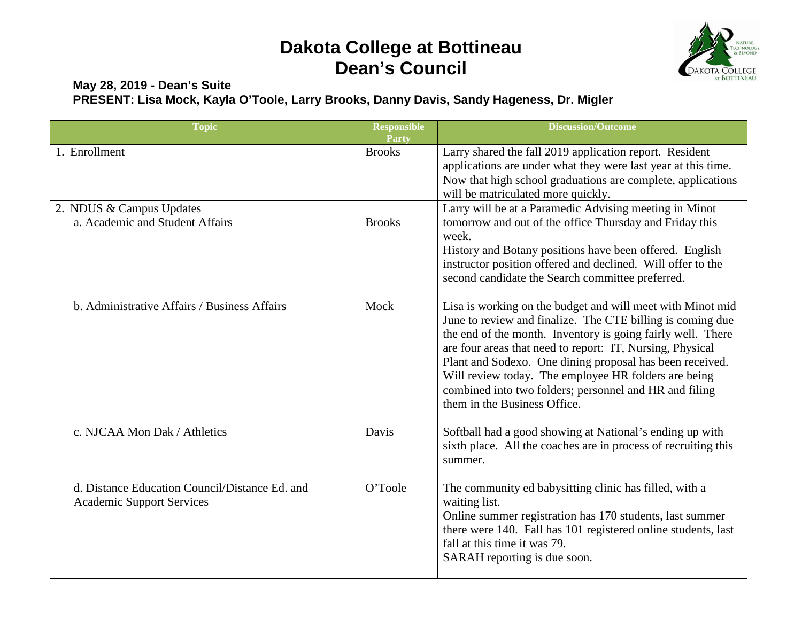## **Dakota College at Bottineau Dean's Council**



## **May 28, 2019 - Dean's Suite PRESENT: Lisa Mock, Kayla O'Toole, Larry Brooks, Danny Davis, Sandy Hageness, Dr. Migler**

| <b>Topic</b>                                                                       | <b>Responsible</b><br>Party | <b>Discussion/Outcome</b>                                                                                                                                                                                                                                                                                                                                                                                                                                          |
|------------------------------------------------------------------------------------|-----------------------------|--------------------------------------------------------------------------------------------------------------------------------------------------------------------------------------------------------------------------------------------------------------------------------------------------------------------------------------------------------------------------------------------------------------------------------------------------------------------|
| 1. Enrollment                                                                      | <b>Brooks</b>               | Larry shared the fall 2019 application report. Resident<br>applications are under what they were last year at this time.<br>Now that high school graduations are complete, applications<br>will be matriculated more quickly.                                                                                                                                                                                                                                      |
| 2. NDUS & Campus Updates<br>a. Academic and Student Affairs                        | <b>Brooks</b>               | Larry will be at a Paramedic Advising meeting in Minot<br>tomorrow and out of the office Thursday and Friday this<br>week.<br>History and Botany positions have been offered. English<br>instructor position offered and declined. Will offer to the<br>second candidate the Search committee preferred.                                                                                                                                                           |
| b. Administrative Affairs / Business Affairs                                       | Mock                        | Lisa is working on the budget and will meet with Minot mid<br>June to review and finalize. The CTE billing is coming due<br>the end of the month. Inventory is going fairly well. There<br>are four areas that need to report: IT, Nursing, Physical<br>Plant and Sodexo. One dining proposal has been received.<br>Will review today. The employee HR folders are being<br>combined into two folders; personnel and HR and filing<br>them in the Business Office. |
| c. NJCAA Mon Dak / Athletics                                                       | Davis                       | Softball had a good showing at National's ending up with<br>sixth place. All the coaches are in process of recruiting this<br>summer.                                                                                                                                                                                                                                                                                                                              |
| d. Distance Education Council/Distance Ed. and<br><b>Academic Support Services</b> | O'Toole                     | The community ed babysitting clinic has filled, with a<br>waiting list.<br>Online summer registration has 170 students, last summer<br>there were 140. Fall has 101 registered online students, last<br>fall at this time it was 79.<br>SARAH reporting is due soon.                                                                                                                                                                                               |